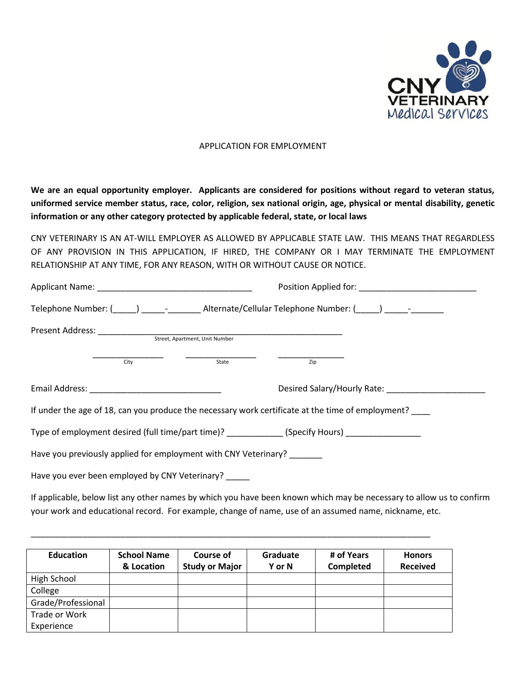

## APPLICATION FOR EMPLOYMENT

**We are an equal opportunity employer. Applicants are considered for positions without regard to veteran status, uniformed service member status, race, color, religion, sex national origin, age, physical or mental disability, genetic information or any other category protected by applicable federal, state, or local laws**

CNY VETERINARY IS AN AT-WILL EMPLOYER AS ALLOWED BY APPLICABLE STATE LAW. THIS MEANS THAT REGARDLESS OF ANY PROVISION IN THIS APPLICATION, IF HIRED, THE COMPANY OR I MAY TERMINATE THE EMPLOYMENT RELATIONSHIP AT ANY TIME, FOR ANY REASON, WITH OR WITHOUT CAUSE OR NOTICE.

|  |                                                      |                                                                 | Telephone Number: (Calcular Telephone Number: (Calcular Telephone Number: (Calcular Telephone Number: (Calcular Telephone Number: (Calcular Telephone Number: (Calcular Telephone Number: (Calcular Telephone Number: (Calcula |  |  |
|--|------------------------------------------------------|-----------------------------------------------------------------|--------------------------------------------------------------------------------------------------------------------------------------------------------------------------------------------------------------------------------|--|--|
|  |                                                      | Street, Apartment, Unit Number                                  |                                                                                                                                                                                                                                |  |  |
|  | City                                                 | State                                                           | Zip                                                                                                                                                                                                                            |  |  |
|  |                                                      |                                                                 | Desired Salary/Hourly Rate: 2008. 2009. 2009. 2009. 2009. 2009. 2009. 2009. 2009. 2009. 2009. 2009. 2009. 2009                                                                                                                 |  |  |
|  |                                                      |                                                                 | If under the age of 18, can you produce the necessary work certificate at the time of employment?                                                                                                                              |  |  |
|  |                                                      |                                                                 | Type of employment desired (full time/part time)? (Specify Hours)                                                                                                                                                              |  |  |
|  |                                                      | Have you previously applied for employment with CNY Veterinary? |                                                                                                                                                                                                                                |  |  |
|  | Have you ever been employed by CNY Veterinary? _____ |                                                                 |                                                                                                                                                                                                                                |  |  |

If applicable, below list any other names by which you have been known which may be necessary to allow us to confirm your work and educational record. For example, change of name, use of an assumed name, nickname, etc.

| <b>Education</b>   | <b>School Name</b><br>& Location | Course of<br><b>Study or Major</b> | Graduate<br><b>Y</b> or N | # of Years<br><b>Completed</b> | <b>Honors</b><br><b>Received</b> |
|--------------------|----------------------------------|------------------------------------|---------------------------|--------------------------------|----------------------------------|
| High School        |                                  |                                    |                           |                                |                                  |
| College            |                                  |                                    |                           |                                |                                  |
| Grade/Professional |                                  |                                    |                           |                                |                                  |
| Trade or Work      |                                  |                                    |                           |                                |                                  |
| Experience         |                                  |                                    |                           |                                |                                  |

\_\_\_\_\_\_\_\_\_\_\_\_\_\_\_\_\_\_\_\_\_\_\_\_\_\_\_\_\_\_\_\_\_\_\_\_\_\_\_\_\_\_\_\_\_\_\_\_\_\_\_\_\_\_\_\_\_\_\_\_\_\_\_\_\_\_\_\_\_\_\_\_\_\_\_\_\_\_\_\_\_\_\_\_\_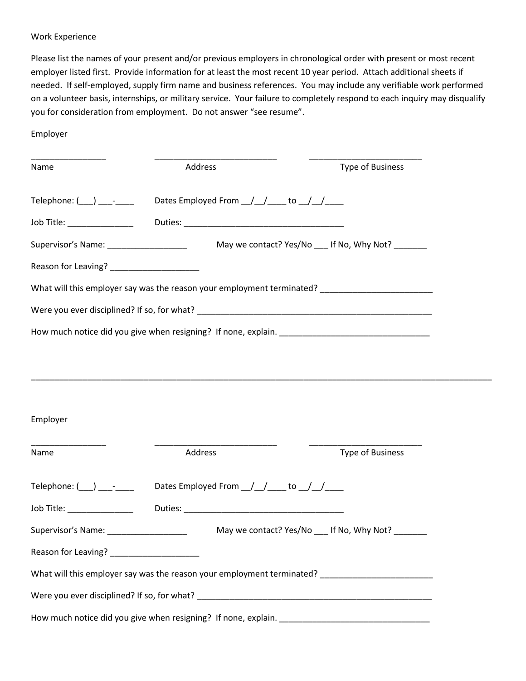## Work Experience

Please list the names of your present and/or previous employers in chronological order with present or most recent employer listed first. Provide information for at least the most recent 10 year period. Attach additional sheets if needed. If self-employed, supply firm name and business references. You may include any verifiable work performed on a volunteer basis, internships, or military service. Your failure to completely respond to each inquiry may disqualify you for consideration from employment. Do not answer "see resume".

Employer

| Name                                                                                                                                                                                                                             | Address                                       | Type of Business                                                                                    |
|----------------------------------------------------------------------------------------------------------------------------------------------------------------------------------------------------------------------------------|-----------------------------------------------|-----------------------------------------------------------------------------------------------------|
| Telephone: $(\_\_\_\_\_\_\_$                                                                                                                                                                                                     | Dates Employed From __/__/_____ to __/__/____ |                                                                                                     |
|                                                                                                                                                                                                                                  |                                               |                                                                                                     |
|                                                                                                                                                                                                                                  |                                               |                                                                                                     |
| Reason for Leaving? ________________________                                                                                                                                                                                     |                                               |                                                                                                     |
|                                                                                                                                                                                                                                  |                                               | What will this employer say was the reason your employment terminated? ____________________________ |
|                                                                                                                                                                                                                                  |                                               |                                                                                                     |
|                                                                                                                                                                                                                                  |                                               |                                                                                                     |
|                                                                                                                                                                                                                                  |                                               |                                                                                                     |
| Employer                                                                                                                                                                                                                         |                                               |                                                                                                     |
| Name                                                                                                                                                                                                                             | Address                                       | <b>Type of Business</b>                                                                             |
| $\mathsf{Telephone:} (\_\_\_\_\_\_\_$                                                                                                                                                                                            | Dates Employed From __/__/_____ to __/__/____ |                                                                                                     |
| Job Title: <u>www.community.com</u>                                                                                                                                                                                              |                                               |                                                                                                     |
| Supervisor's Name: _____________________                                                                                                                                                                                         |                                               | May we contact? Yes/No ___ If No, Why Not? _____                                                    |
| Reason for Leaving?<br>Notice and the set of the set of the set of the set of the set of the set of the set of the set of the set of the set of the set of the set of the set of the set of the set of the set of the set of the |                                               |                                                                                                     |

What will this employer say was the reason your employment terminated? \_\_\_\_\_\_\_\_\_\_\_\_\_\_\_\_\_\_\_\_\_\_\_\_

Were you ever disciplined? If so, for what? \_\_\_\_\_\_\_\_\_\_\_\_\_\_\_\_\_\_\_\_\_\_\_\_\_\_\_\_\_\_\_\_\_\_\_\_\_\_\_\_\_\_\_\_\_\_\_\_\_\_

How much notice did you give when resigning? If none, explain. \_\_\_\_\_\_\_\_\_\_\_\_\_\_\_\_\_\_\_\_\_\_\_\_\_\_\_\_\_\_\_\_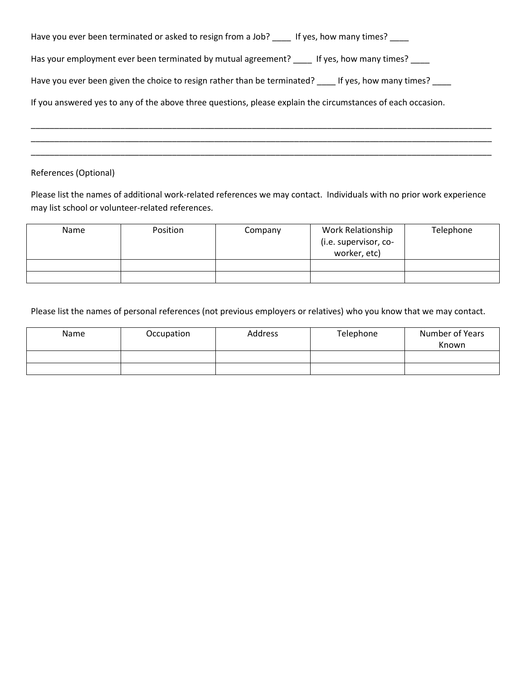| Have you ever been terminated or asked to resign from a Job? _____ If yes, how many times? ____             |
|-------------------------------------------------------------------------------------------------------------|
| Has your employment ever been terminated by mutual agreement? Figures, how many times?                      |
| Have you ever been given the choice to resign rather than be terminated? ____ If yes, how many times? ____  |
| If you answered yes to any of the above three questions, please explain the circumstances of each occasion. |

## References (Optional)

Please list the names of additional work-related references we may contact. Individuals with no prior work experience may list school or volunteer-related references.

\_\_\_\_\_\_\_\_\_\_\_\_\_\_\_\_\_\_\_\_\_\_\_\_\_\_\_\_\_\_\_\_\_\_\_\_\_\_\_\_\_\_\_\_\_\_\_\_\_\_\_\_\_\_\_\_\_\_\_\_\_\_\_\_\_\_\_\_\_\_\_\_\_\_\_\_\_\_\_\_\_\_\_\_\_\_\_\_\_\_\_\_\_\_\_\_\_\_ \_\_\_\_\_\_\_\_\_\_\_\_\_\_\_\_\_\_\_\_\_\_\_\_\_\_\_\_\_\_\_\_\_\_\_\_\_\_\_\_\_\_\_\_\_\_\_\_\_\_\_\_\_\_\_\_\_\_\_\_\_\_\_\_\_\_\_\_\_\_\_\_\_\_\_\_\_\_\_\_\_\_\_\_\_\_\_\_\_\_\_\_\_\_\_\_\_\_ \_\_\_\_\_\_\_\_\_\_\_\_\_\_\_\_\_\_\_\_\_\_\_\_\_\_\_\_\_\_\_\_\_\_\_\_\_\_\_\_\_\_\_\_\_\_\_\_\_\_\_\_\_\_\_\_\_\_\_\_\_\_\_\_\_\_\_\_\_\_\_\_\_\_\_\_\_\_\_\_\_\_\_\_\_\_\_\_\_\_\_\_\_\_\_\_\_\_

| Name | Position | Company | Work Relationship<br>(i.e. supervisor, co- | Telephone |
|------|----------|---------|--------------------------------------------|-----------|
|      |          |         | worker, etc)                               |           |
|      |          |         |                                            |           |
|      |          |         |                                            |           |

Please list the names of personal references (not previous employers or relatives) who you know that we may contact.

| Name | Occupation | Address | Telephone | Number of Years<br>Known |
|------|------------|---------|-----------|--------------------------|
|      |            |         |           |                          |
|      |            |         |           |                          |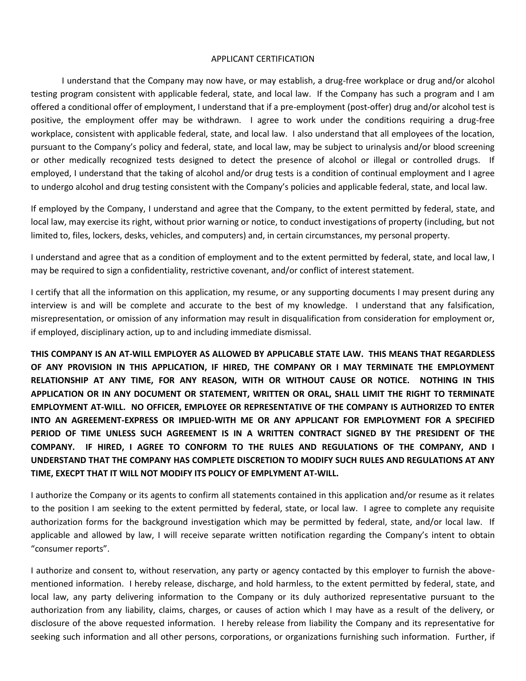## APPLICANT CERTIFICATION

I understand that the Company may now have, or may establish, a drug-free workplace or drug and/or alcohol testing program consistent with applicable federal, state, and local law. If the Company has such a program and I am offered a conditional offer of employment, I understand that if a pre-employment (post-offer) drug and/or alcohol test is positive, the employment offer may be withdrawn. I agree to work under the conditions requiring a drug-free workplace, consistent with applicable federal, state, and local law. I also understand that all employees of the location, pursuant to the Company's policy and federal, state, and local law, may be subject to urinalysis and/or blood screening or other medically recognized tests designed to detect the presence of alcohol or illegal or controlled drugs. If employed, I understand that the taking of alcohol and/or drug tests is a condition of continual employment and I agree to undergo alcohol and drug testing consistent with the Company's policies and applicable federal, state, and local law.

If employed by the Company, I understand and agree that the Company, to the extent permitted by federal, state, and local law, may exercise its right, without prior warning or notice, to conduct investigations of property (including, but not limited to, files, lockers, desks, vehicles, and computers) and, in certain circumstances, my personal property.

I understand and agree that as a condition of employment and to the extent permitted by federal, state, and local law, I may be required to sign a confidentiality, restrictive covenant, and/or conflict of interest statement.

I certify that all the information on this application, my resume, or any supporting documents I may present during any interview is and will be complete and accurate to the best of my knowledge. I understand that any falsification, misrepresentation, or omission of any information may result in disqualification from consideration for employment or, if employed, disciplinary action, up to and including immediate dismissal.

**THIS COMPANY IS AN AT-WILL EMPLOYER AS ALLOWED BY APPLICABLE STATE LAW. THIS MEANS THAT REGARDLESS OF ANY PROVISION IN THIS APPLICATION, IF HIRED, THE COMPANY OR I MAY TERMINATE THE EMPLOYMENT RELATIONSHIP AT ANY TIME, FOR ANY REASON, WITH OR WITHOUT CAUSE OR NOTICE. NOTHING IN THIS APPLICATION OR IN ANY DOCUMENT OR STATEMENT, WRITTEN OR ORAL, SHALL LIMIT THE RIGHT TO TERMINATE EMPLOYMENT AT-WILL. NO OFFICER, EMPLOYEE OR REPRESENTATIVE OF THE COMPANY IS AUTHORIZED TO ENTER INTO AN AGREEMENT-EXPRESS OR IMPLIED-WITH ME OR ANY APPLICANT FOR EMPLOYMENT FOR A SPECIFIED PERIOD OF TIME UNLESS SUCH AGREEMENT IS IN A WRITTEN CONTRACT SIGNED BY THE PRESIDENT OF THE COMPANY. IF HIRED, I AGREE TO CONFORM TO THE RULES AND REGULATIONS OF THE COMPANY, AND I UNDERSTAND THAT THE COMPANY HAS COMPLETE DISCRETION TO MODIFY SUCH RULES AND REGULATIONS AT ANY TIME, EXECPT THAT IT WILL NOT MODIFY ITS POLICY OF EMPLYMENT AT-WILL.**

I authorize the Company or its agents to confirm all statements contained in this application and/or resume as it relates to the position I am seeking to the extent permitted by federal, state, or local law. I agree to complete any requisite authorization forms for the background investigation which may be permitted by federal, state, and/or local law. If applicable and allowed by law, I will receive separate written notification regarding the Company's intent to obtain "consumer reports".

I authorize and consent to, without reservation, any party or agency contacted by this employer to furnish the abovementioned information. I hereby release, discharge, and hold harmless, to the extent permitted by federal, state, and local law, any party delivering information to the Company or its duly authorized representative pursuant to the authorization from any liability, claims, charges, or causes of action which I may have as a result of the delivery, or disclosure of the above requested information. I hereby release from liability the Company and its representative for seeking such information and all other persons, corporations, or organizations furnishing such information. Further, if